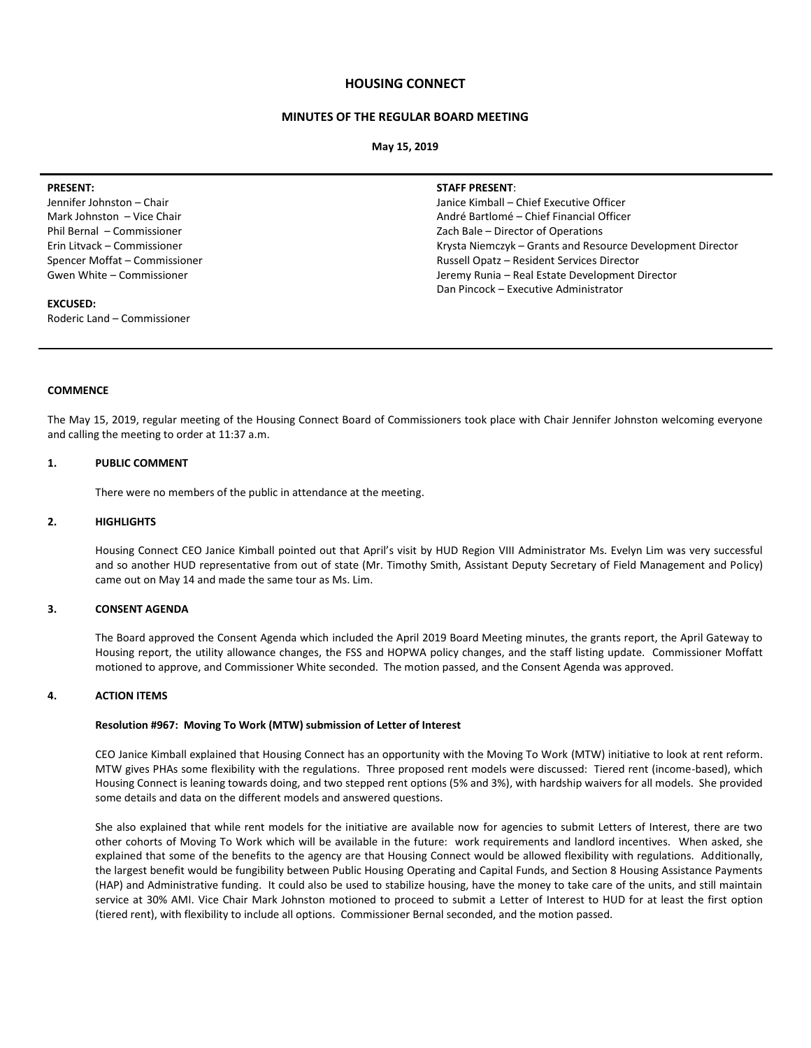# **HOUSING CONNECT**

# **MINUTES OF THE REGULAR BOARD MEETING**

#### **May 15, 2019**

#### **PRESENT:**

Jennifer Johnston – Chair Mark Johnston – Vice Chair Phil Bernal – Commissioner Erin Litvack – Commissioner Spencer Moffat – Commissioner Gwen White – Commissioner

# **EXCUSED:**

Roderic Land – Commissioner

#### **STAFF PRESENT**:

Janice Kimball – Chief Executive Officer André Bartlomé – Chief Financial Officer Zach Bale – Director of Operations Krysta Niemczyk – Grants and Resource Development Director Russell Opatz – Resident Services Director Jeremy Runia – Real Estate Development Director Dan Pincock – Executive Administrator

## **COMMENCE**

The May 15, 2019, regular meeting of the Housing Connect Board of Commissioners took place with Chair Jennifer Johnston welcoming everyone and calling the meeting to order at 11:37 a.m.

## **1. PUBLIC COMMENT**

There were no members of the public in attendance at the meeting.

#### **2. HIGHLIGHTS**

Housing Connect CEO Janice Kimball pointed out that April's visit by HUD Region VIII Administrator Ms. Evelyn Lim was very successful and so another HUD representative from out of state (Mr. Timothy Smith, Assistant Deputy Secretary of Field Management and Policy) came out on May 14 and made the same tour as Ms. Lim.

# **3. CONSENT AGENDA**

The Board approved the Consent Agenda which included the April 2019 Board Meeting minutes, the grants report, the April Gateway to Housing report, the utility allowance changes, the FSS and HOPWA policy changes, and the staff listing update. Commissioner Moffatt motioned to approve, and Commissioner White seconded. The motion passed, and the Consent Agenda was approved.

### **4. ACTION ITEMS**

#### **Resolution #967: Moving To Work (MTW) submission of Letter of Interest**

CEO Janice Kimball explained that Housing Connect has an opportunity with the Moving To Work (MTW) initiative to look at rent reform. MTW gives PHAs some flexibility with the regulations. Three proposed rent models were discussed: Tiered rent (income-based), which Housing Connect is leaning towards doing, and two stepped rent options (5% and 3%), with hardship waivers for all models. She provided some details and data on the different models and answered questions.

She also explained that while rent models for the initiative are available now for agencies to submit Letters of Interest, there are two other cohorts of Moving To Work which will be available in the future: work requirements and landlord incentives. When asked, she explained that some of the benefits to the agency are that Housing Connect would be allowed flexibility with regulations. Additionally, the largest benefit would be fungibility between Public Housing Operating and Capital Funds, and Section 8 Housing Assistance Payments (HAP) and Administrative funding. It could also be used to stabilize housing, have the money to take care of the units, and still maintain service at 30% AMI. Vice Chair Mark Johnston motioned to proceed to submit a Letter of Interest to HUD for at least the first option (tiered rent), with flexibility to include all options. Commissioner Bernal seconded, and the motion passed.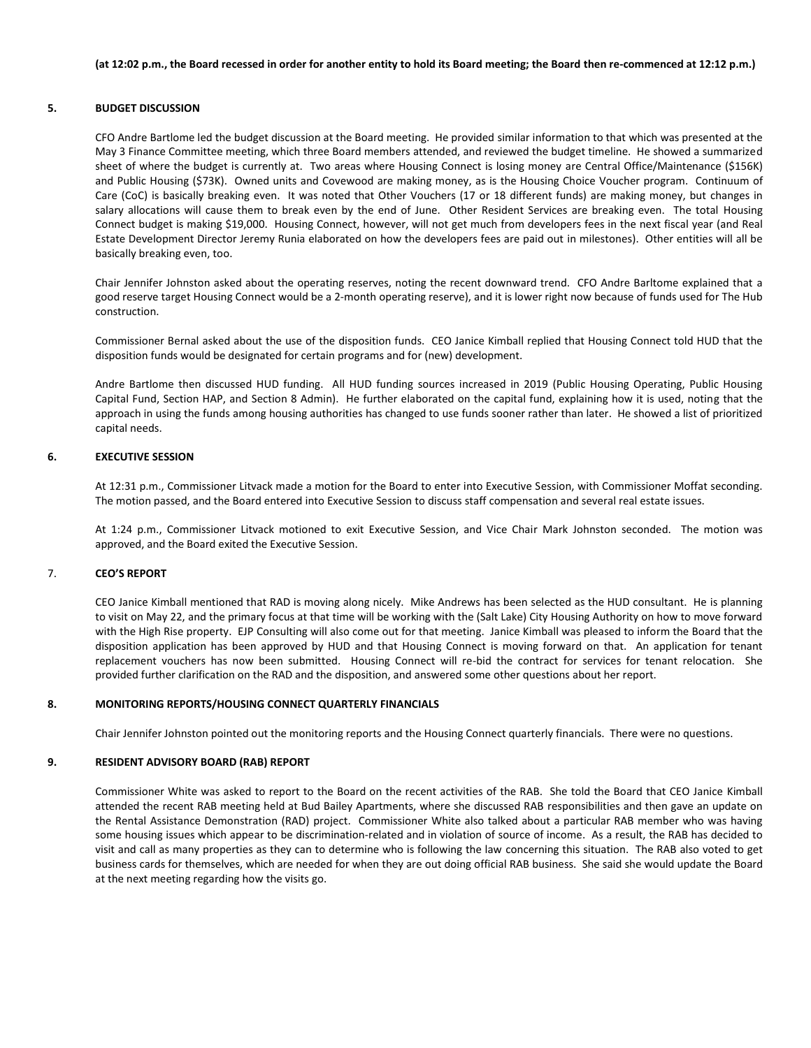#### **5. BUDGET DISCUSSION**

CFO Andre Bartlome led the budget discussion at the Board meeting. He provided similar information to that which was presented at the May 3 Finance Committee meeting, which three Board members attended, and reviewed the budget timeline. He showed a summarized sheet of where the budget is currently at. Two areas where Housing Connect is losing money are Central Office/Maintenance (\$156K) and Public Housing (\$73K). Owned units and Covewood are making money, as is the Housing Choice Voucher program. Continuum of Care (CoC) is basically breaking even. It was noted that Other Vouchers (17 or 18 different funds) are making money, but changes in salary allocations will cause them to break even by the end of June. Other Resident Services are breaking even. The total Housing Connect budget is making \$19,000. Housing Connect, however, will not get much from developers fees in the next fiscal year (and Real Estate Development Director Jeremy Runia elaborated on how the developers fees are paid out in milestones). Other entities will all be basically breaking even, too.

Chair Jennifer Johnston asked about the operating reserves, noting the recent downward trend. CFO Andre Barltome explained that a good reserve target Housing Connect would be a 2-month operating reserve), and it is lower right now because of funds used for The Hub construction.

Commissioner Bernal asked about the use of the disposition funds. CEO Janice Kimball replied that Housing Connect told HUD that the disposition funds would be designated for certain programs and for (new) development.

Andre Bartlome then discussed HUD funding. All HUD funding sources increased in 2019 (Public Housing Operating, Public Housing Capital Fund, Section HAP, and Section 8 Admin). He further elaborated on the capital fund, explaining how it is used, noting that the approach in using the funds among housing authorities has changed to use funds sooner rather than later. He showed a list of prioritized capital needs.

### **6. EXECUTIVE SESSION**

At 12:31 p.m., Commissioner Litvack made a motion for the Board to enter into Executive Session, with Commissioner Moffat seconding. The motion passed, and the Board entered into Executive Session to discuss staff compensation and several real estate issues.

At 1:24 p.m., Commissioner Litvack motioned to exit Executive Session, and Vice Chair Mark Johnston seconded. The motion was approved, and the Board exited the Executive Session.

# 7. **CEO'S REPORT**

CEO Janice Kimball mentioned that RAD is moving along nicely. Mike Andrews has been selected as the HUD consultant. He is planning to visit on May 22, and the primary focus at that time will be working with the (Salt Lake) City Housing Authority on how to move forward with the High Rise property. EJP Consulting will also come out for that meeting. Janice Kimball was pleased to inform the Board that the disposition application has been approved by HUD and that Housing Connect is moving forward on that. An application for tenant replacement vouchers has now been submitted. Housing Connect will re-bid the contract for services for tenant relocation. She provided further clarification on the RAD and the disposition, and answered some other questions about her report.

#### **8. MONITORING REPORTS/HOUSING CONNECT QUARTERLY FINANCIALS**

Chair Jennifer Johnston pointed out the monitoring reports and the Housing Connect quarterly financials. There were no questions.

### **9. RESIDENT ADVISORY BOARD (RAB) REPORT**

Commissioner White was asked to report to the Board on the recent activities of the RAB. She told the Board that CEO Janice Kimball attended the recent RAB meeting held at Bud Bailey Apartments, where she discussed RAB responsibilities and then gave an update on the Rental Assistance Demonstration (RAD) project. Commissioner White also talked about a particular RAB member who was having some housing issues which appear to be discrimination-related and in violation of source of income. As a result, the RAB has decided to visit and call as many properties as they can to determine who is following the law concerning this situation. The RAB also voted to get business cards for themselves, which are needed for when they are out doing official RAB business. She said she would update the Board at the next meeting regarding how the visits go.